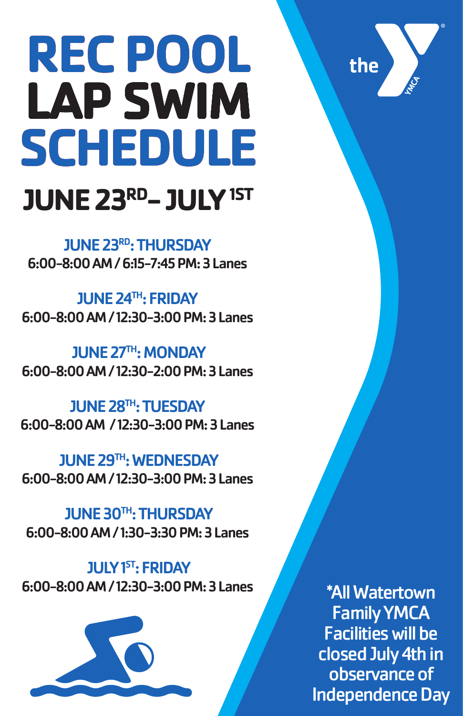# **REC POOL LAP SWIM SWIMLAP SCHEDULE JUNE 23RD- JULY 1ST**

JUNE 23RD: THURSDAY 6:00-8:00 AM / 6:15-7:45 PM: 3 Lanes

> \*All Watertown Family YMCA Facilities will be closed July 4th in observance of Independence Day

the

JUNE 28<sup>TH</sup>: TUESDAY 6:00-8:00 AM / 12:30-3:00 PM: 3 Lanes

JUNE 24TH: FRIDAY 6:00-8:00 AM / 12:30-3:00 PM: 3 Lanes

JUNE 27TH: MONDAY 6:00-8:00 AM / 12:30-2:00 PM: 3 Lanes

JUNE 29TH: WEDNESDAY 6:00-8:00 AM / 12:30-3:00 PM: 3 Lanes

JUNE 30TH: THURSDAY

#### 6:00-8:00 AM / 1:30-3:30 PM: 3 Lanes

#### **JULY 1ST: FRIDAY**

#### 6:00-8:00 AM / 12:30-3:00 PM: 3 Lanes